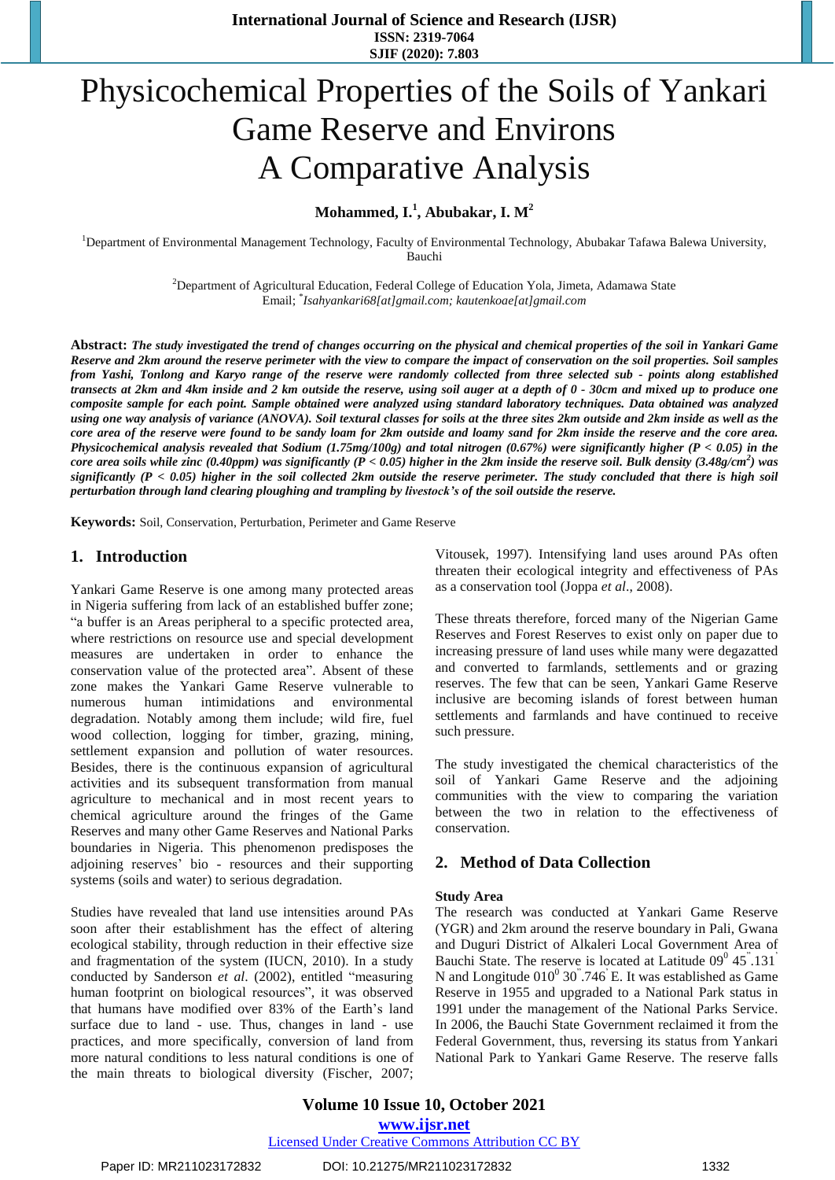# Physicochemical Properties of the Soils of Yankari Game Reserve and Environs A Comparative Analysis

**Mohammed, I. 1 , Abubakar, I. M<sup>2</sup>**

<sup>1</sup>Department of Environmental Management Technology, Faculty of Environmental Technology, Abubakar Tafawa Balewa University, Bauchi

> <sup>2</sup>Department of Agricultural Education, Federal College of Education Yola, Jimeta, Adamawa State Email; \* *[Isahyankari68\[at\]gmail.com;](mailto:Isahyankari68@gmail.com) kautenkoae[at]gmail.com*

Abstract: The study investigated the trend of changes occurring on the physical and chemical properties of the soil in Yankari Game Reserve and 2km around the reserve perimeter with the view to compare the impact of conservation on the soil properties. Soil samples from Yashi, Tonlong and Karyo range of the reserve were randomly collected from three selected sub - points along established transects at 2km and 4km inside and 2 km outside the reserve, using soil auger at a depth of 0 - 30cm and mixed up to produce one composite sample for each point. Sample obtained were analyzed using standard laboratory techniques. Data obtained was analyzed using one way analysis of variance (ANOVA). Soil textural classes for soils at the three sites 2km outside and 2km inside as well as the core area of the reserve were found to be sandy loam for 2km outside and loamy sand for 2km inside the reserve and the core area. Physicochemical analysis revealed that Sodium (1.75mg/100g) and total nitrogen (0.67%) were significantly higher (P < 0.05) in the core area soils while zinc (0.40ppm) was significantly (P < 0.05) higher in the 2km inside the reserve soil. Bulk density (3.48g/cm<sup>2</sup>) was significantly  $(P < 0.05)$  higher in the soil collected 2km outside the reserve perimeter. The study concluded that there is high soil *perturbation through land clearing ploughing and trampling by livestock's of the soil outside the reserve.* 

**Keywords:** Soil, Conservation, Perturbation, Perimeter and Game Reserve

## **1. Introduction**

Yankari Game Reserve is one among many protected areas in Nigeria suffering from lack of an established buffer zone; "a buffer is an Areas peripheral to a specific protected area, where restrictions on resource use and special development measures are undertaken in order to enhance the conservation value of the protected area". Absent of these zone makes the Yankari Game Reserve vulnerable to numerous human intimidations and environmental degradation. Notably among them include; wild fire, fuel wood collection, logging for timber, grazing, mining, settlement expansion and pollution of water resources. Besides, there is the continuous expansion of agricultural activities and its subsequent transformation from manual agriculture to mechanical and in most recent years to chemical agriculture around the fringes of the Game Reserves and many other Game Reserves and National Parks boundaries in Nigeria. This phenomenon predisposes the adjoining reserves' bio - resources and their supporting systems (soils and water) to serious degradation.

Studies have revealed that land use intensities around PAs soon after their establishment has the effect of altering ecological stability, through reduction in their effective size and fragmentation of the system (IUCN, 2010). In a study conducted by Sanderson *et al*. (2002), entitled "measuring human footprint on biological resources", it was observed that humans have modified over 83% of the Earth's land surface due to land - use. Thus, changes in land - use practices, and more specifically, conversion of land from more natural conditions to less natural conditions is one of the main threats to biological diversity (Fischer, 2007;

Vitousek, 1997). Intensifying land uses around PAs often threaten their ecological integrity and effectiveness of PAs as a conservation tool (Joppa *et al*., 2008).

These threats therefore, forced many of the Nigerian Game Reserves and Forest Reserves to exist only on paper due to increasing pressure of land uses while many were degazatted and converted to farmlands, settlements and or grazing reserves. The few that can be seen, Yankari Game Reserve inclusive are becoming islands of forest between human settlements and farmlands and have continued to receive such pressure.

The study investigated the chemical characteristics of the soil of Yankari Game Reserve and the adjoining communities with the view to comparing the variation between the two in relation to the effectiveness of conservation.

# **2. Method of Data Collection**

#### **Study Area**

The research was conducted at Yankari Game Reserve (YGR) and 2km around the reserve boundary in Pali, Gwana and Duguri District of Alkaleri Local Government Area of Bauchi State. The reserve is located at Latitude  $09^0$  45<sup>"</sup>.131<sup>"</sup> N and Longitude  $010^{\circ}$  30".746 E. It was established as Game Reserve in 1955 and upgraded to a National Park status in 1991 under the management of the National Parks Service. In 2006, the Bauchi State Government reclaimed it from the Federal Government, thus, reversing its status from Yankari National Park to Yankari Game Reserve. The reserve falls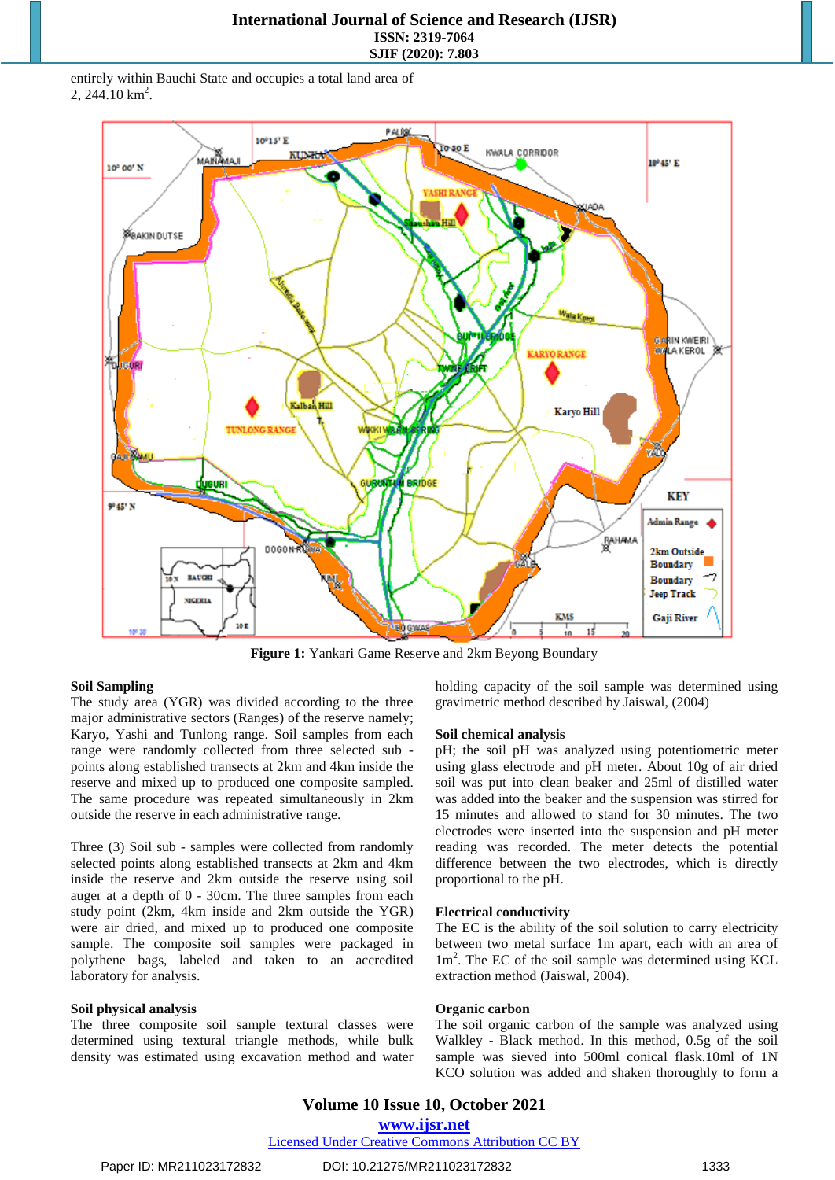entirely within Bauchi State and occupies a total land area of  $2, 244.10 \text{ km}^2$ .



**Figure 1:** Yankari Game Reserve and 2km Beyong Boundary

## **Soil Sampling**

The study area (YGR) was divided according to the three major administrative sectors (Ranges) of the reserve namely; Karyo, Yashi and Tunlong range. Soil samples from each range were randomly collected from three selected sub points along established transects at 2km and 4km inside the reserve and mixed up to produced one composite sampled. The same procedure was repeated simultaneously in 2km outside the reserve in each administrative range.

Three (3) Soil sub - samples were collected from randomly selected points along established transects at 2km and 4km inside the reserve and 2km outside the reserve using soil auger at a depth of 0 - 30cm. The three samples from each study point (2km, 4km inside and 2km outside the YGR) were air dried, and mixed up to produced one composite sample. The composite soil samples were packaged in polythene bags, labeled and taken to an accredited laboratory for analysis.

## **Soil physical analysis**

The three composite soil sample textural classes were determined using textural triangle methods, while bulk density was estimated using excavation method and water holding capacity of the soil sample was determined using gravimetric method described by Jaiswal, (2004)

#### **Soil chemical analysis**

pH; the soil pH was analyzed using potentiometric meter using glass electrode and pH meter. About 10g of air dried soil was put into clean beaker and 25ml of distilled water was added into the beaker and the suspension was stirred for 15 minutes and allowed to stand for 30 minutes. The two electrodes were inserted into the suspension and pH meter reading was recorded. The meter detects the potential difference between the two electrodes, which is directly proportional to the pH.

#### **Electrical conductivity**

The EC is the ability of the soil solution to carry electricity between two metal surface 1m apart, each with an area of 1m<sup>2</sup> . The EC of the soil sample was determined using KCL extraction method (Jaiswal, 2004).

#### **Organic carbon**

The soil organic carbon of the sample was analyzed using Walkley - Black method. In this method, 0.5g of the soil sample was sieved into 500ml conical flask.10ml of 1N KCO solution was added and shaken thoroughly to form a

### Licensed Under Creative Commons Attribution CC BY

Paper ID: MR211023172832 DOI: 10.21275/MR211023172832 1333 1333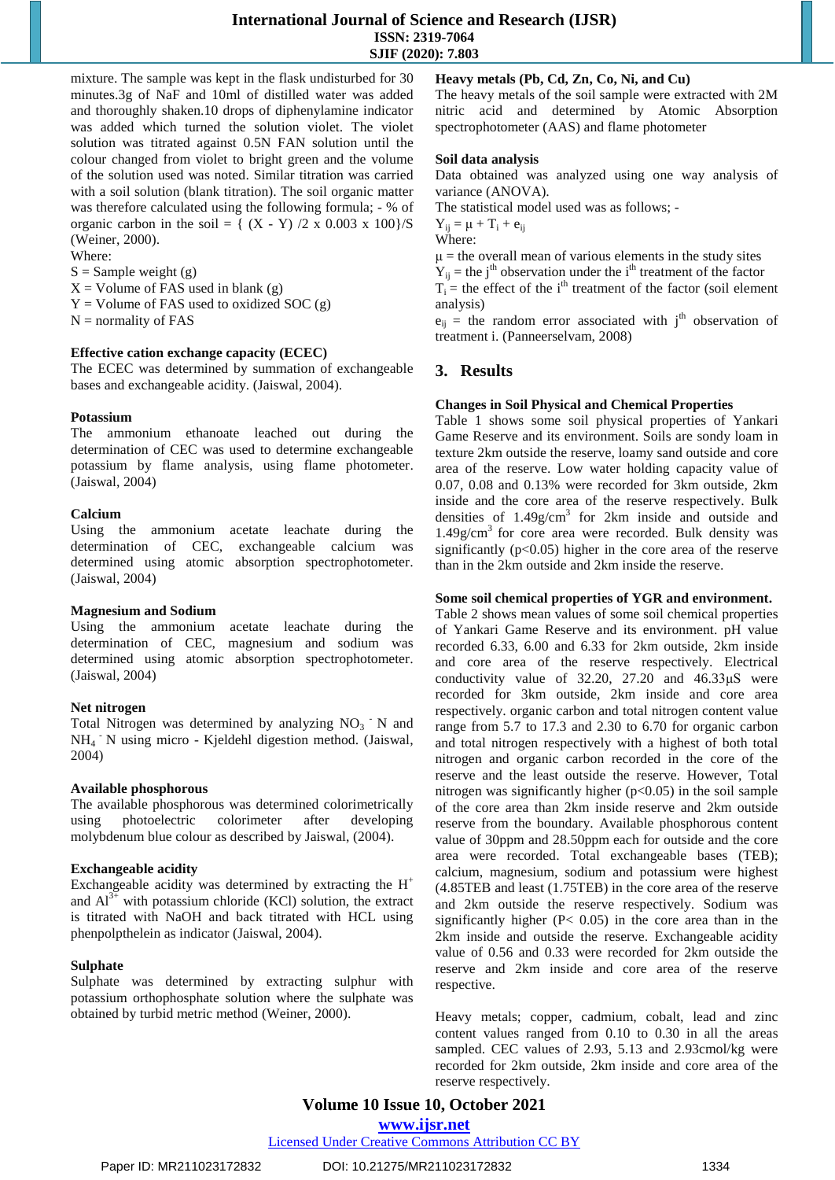mixture. The sample was kept in the flask undisturbed for 30 minutes.3g of NaF and 10ml of distilled water was added and thoroughly shaken.10 drops of diphenylamine indicator was added which turned the solution violet. The violet solution was titrated against 0.5N FAN solution until the colour changed from violet to bright green and the volume of the solution used was noted. Similar titration was carried with a soil solution (blank titration). The soil organic matter was therefore calculated using the following formula; - % of organic carbon in the soil = {  $(X - Y)$  /2 x 0.003 x 100}/S (Weiner, 2000).

Where:

 $S =$  Sample weight (g)

 $X =$  Volume of FAS used in blank (g)

 $Y =$  Volume of FAS used to oxidized SOC (g)

 $N =$  normality of FAS

## **Effective cation exchange capacity (ECEC)**

The ECEC was determined by summation of exchangeable bases and exchangeable acidity. (Jaiswal, 2004).

#### **Potassium**

The ammonium ethanoate leached out during the determination of CEC was used to determine exchangeable potassium by flame analysis, using flame photometer. (Jaiswal, 2004)

#### **Calcium**

Using the ammonium acetate leachate during the determination of CEC, exchangeable calcium was determined using atomic absorption spectrophotometer. (Jaiswal, 2004)

#### **Magnesium and Sodium**

Using the ammonium acetate leachate during the determination of CEC, magnesium and sodium was determined using atomic absorption spectrophotometer. (Jaiswal, 2004)

#### **Net nitrogen**

Total Nitrogen was determined by analyzing  $NO<sub>3</sub>$  N and NH<sup>4</sup> - N using micro - Kjeldehl digestion method. (Jaiswal, 2004)

#### **Available phosphorous**

The available phosphorous was determined colorimetrically using photoelectric colorimeter after developing molybdenum blue colour as described by Jaiswal, (2004).

## **Exchangeable acidity**

Exchangeable acidity was determined by extracting the  $H^+$ and  $Al^{3+}$  with potassium chloride (KCl) solution, the extract is titrated with NaOH and back titrated with HCL using phenpolpthelein as indicator (Jaiswal, 2004).

#### **Sulphate**

Sulphate was determined by extracting sulphur with potassium orthophosphate solution where the sulphate was obtained by turbid metric method (Weiner, 2000).

## **Heavy metals (Pb, Cd, Zn, Co, Ni, and Cu)**

The heavy metals of the soil sample were extracted with 2M nitric acid and determined by Atomic Absorption spectrophotometer (AAS) and flame photometer

### **Soil data analysis**

Data obtained was analyzed using one way analysis of variance (ANOVA).

The statistical model used was as follows; -

 $Y_{ii} = \mu + T_i + e_{ii}$ Where:

 $\mu$  = the overall mean of various elements in the study sites

 $Y_{ij}$  = the j<sup>th</sup> observation under the i<sup>th</sup> treatment of the factor

 $T_i$  = the effect of the i<sup>th</sup> treatment of the factor (soil element analysis)

 $e_{ij}$  = the random error associated with j<sup>th</sup> observation of treatment i. (Panneerselvam, 2008)

# **3. Results**

## **Changes in Soil Physical and Chemical Properties**

Table 1 shows some soil physical properties of Yankari Game Reserve and its environment. Soils are sondy loam in texture 2km outside the reserve, loamy sand outside and core area of the reserve. Low water holding capacity value of 0.07, 0.08 and 0.13% were recorded for 3km outside, 2km inside and the core area of the reserve respectively. Bulk densities of  $1.49$ g/cm<sup>3</sup> for 2km inside and outside and 1.49g/cm<sup>3</sup> for core area were recorded. Bulk density was significantly  $(p<0.05)$  higher in the core area of the reserve than in the 2km outside and 2km inside the reserve.

## **Some soil chemical properties of YGR and environment.**

Table 2 shows mean values of some soil chemical properties of Yankari Game Reserve and its environment. pH value recorded 6.33, 6.00 and 6.33 for 2km outside, 2km inside and core area of the reserve respectively. Electrical conductivity value of  $32.20$ ,  $27.20$  and  $46.33 \mu S$  were recorded for 3km outside, 2km inside and core area respectively. organic carbon and total nitrogen content value range from 5.7 to 17.3 and 2.30 to 6.70 for organic carbon and total nitrogen respectively with a highest of both total nitrogen and organic carbon recorded in the core of the reserve and the least outside the reserve. However, Total nitrogen was significantly higher  $(p<0.05)$  in the soil sample of the core area than 2km inside reserve and 2km outside reserve from the boundary. Available phosphorous content value of 30ppm and 28.50ppm each for outside and the core area were recorded. Total exchangeable bases (TEB); calcium, magnesium, sodium and potassium were highest (4.85TEB and least (1.75TEB) in the core area of the reserve and 2km outside the reserve respectively. Sodium was significantly higher  $(P< 0.05)$  in the core area than in the 2km inside and outside the reserve. Exchangeable acidity value of 0.56 and 0.33 were recorded for 2km outside the reserve and 2km inside and core area of the reserve respective.

Heavy metals; copper, cadmium, cobalt, lead and zinc content values ranged from 0.10 to 0.30 in all the areas sampled. CEC values of 2.93, 5.13 and 2.93cmol/kg were recorded for 2km outside, 2km inside and core area of the reserve respectively.

**Volume 10 Issue 10, October 2021**

**www.ijsr.net** Licensed Under Creative Commons Attribution CC BY

Paper ID: MR211023172832 DOI: 10.21275/MR211023172832 1334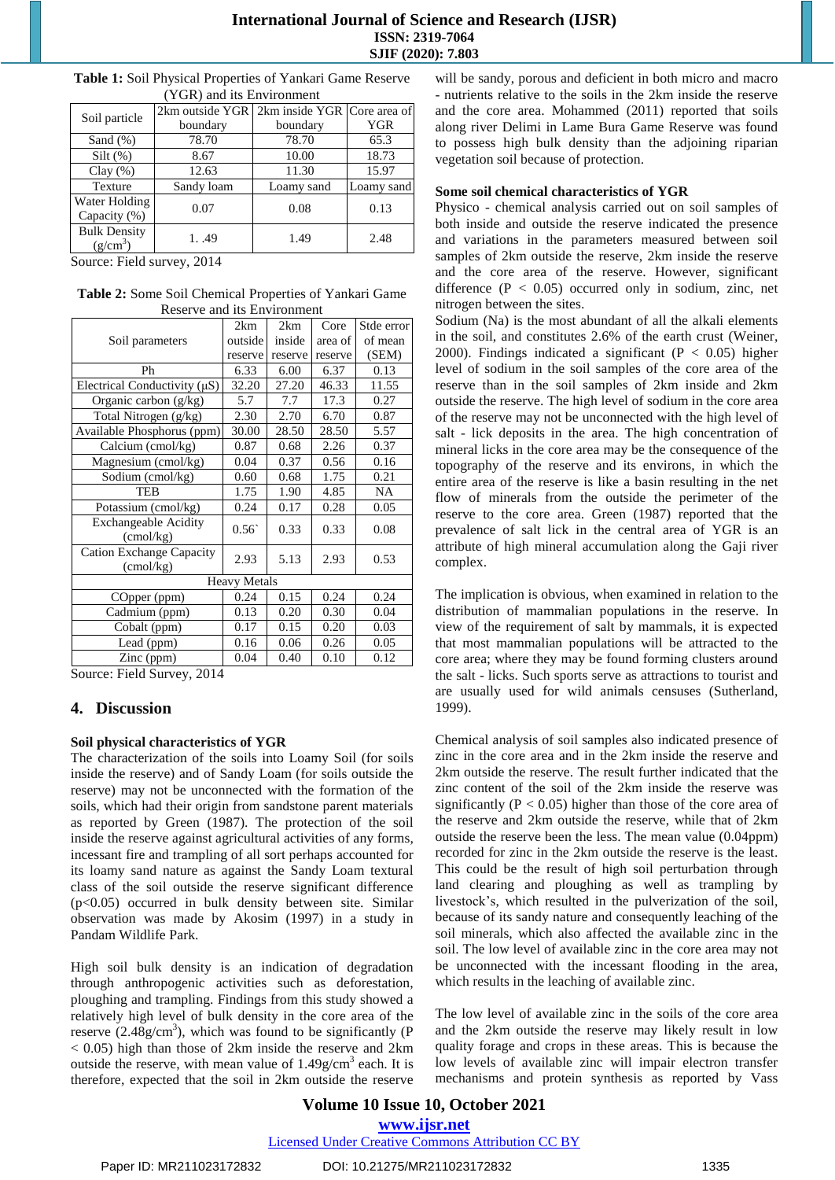| I OIN/ and its Environment |                                             |            |            |  |  |  |
|----------------------------|---------------------------------------------|------------|------------|--|--|--|
| Soil particle              | 2km outside YGR 2km inside YGR Core area of |            |            |  |  |  |
|                            | boundary                                    | boundary   | <b>YGR</b> |  |  |  |
| Sand $(\%)$                | 78.70                                       | 78.70      | 65.3       |  |  |  |
| Silt(%)                    | 8.67                                        | 10.00      | 18.73      |  |  |  |
| Clay(%)                    | 12.63                                       | 11.30      | 15.97      |  |  |  |
| Texture                    | Sandy loam                                  | Loamy sand | Loamy sand |  |  |  |
| Water Holding              | 0.07                                        | 0.08       | 0.13       |  |  |  |
| Capacity (%)               |                                             |            |            |  |  |  |
| <b>Bulk Density</b>        | 1.49                                        | 1.49       | 2.48       |  |  |  |
| $(g/cm^3)$                 |                                             |            |            |  |  |  |

**Table 1:** Soil Physical Properties of Yankari Game Reserve (YGR) and its Environment

Source: Field survey, 2014

**Table 2:** Some Soil Chemical Properties of Yankari Game Reserve and its Environment

|                                                       | 2km     | 2km     | Core    | Stde error |  |  |  |
|-------------------------------------------------------|---------|---------|---------|------------|--|--|--|
| Soil parameters                                       | outside | inside  | area of | of mean    |  |  |  |
|                                                       | reserve | reserve | reserve | (SEM)      |  |  |  |
| Ph                                                    | 6.33    | 6.00    | 6.37    | 0.13       |  |  |  |
| Electrical Conductivity $(\mu S)$                     | 32.20   | 27.20   | 46.33   | 11.55      |  |  |  |
| Organic carbon (g/kg)                                 | 5.7     | 7.7     | 17.3    | 0.27       |  |  |  |
| Total Nitrogen (g/kg)                                 | 2.30    | 2.70    | 6.70    | 0.87       |  |  |  |
| Available Phosphorus (ppm)                            | 30.00   | 28.50   | 28.50   | 5.57       |  |  |  |
| Calcium (cmol/kg)                                     | 0.87    | 0.68    | 2.26    | 0.37       |  |  |  |
| Magnesium (cmol/kg)                                   | 0.04    | 0.37    | 0.56    | 0.16       |  |  |  |
| Sodium (cmol/kg)                                      | 0.60    | 0.68    | 1.75    | 0.21       |  |  |  |
| TEB                                                   | 1.75    | 1.90    | 4.85    | NA         |  |  |  |
| Potassium (cmol/kg)                                   | 0.24    | 0.17    | 0.28    | 0.05       |  |  |  |
| <b>Exchangeable Acidity</b><br>$\text{(cmol/kg)}$     | 0.56    | 0.33    | 0.33    | 0.08       |  |  |  |
| <b>Cation Exchange Capacity</b><br>$\text{(cmol/kg)}$ | 2.93    | 5.13    | 2.93    | 0.53       |  |  |  |
| <b>Heavy Metals</b>                                   |         |         |         |            |  |  |  |
| COpper (ppm)                                          | 0.24    | 0.15    | 0.24    | 0.24       |  |  |  |
| Cadmium (ppm)                                         | 0.13    | 0.20    | 0.30    | 0.04       |  |  |  |
| Cobalt (ppm)                                          | 0.17    | 0.15    | 0.20    | 0.03       |  |  |  |
| Lead (ppm)                                            | 0.16    | 0.06    | 0.26    | 0.05       |  |  |  |
| Zinc (ppm)                                            | 0.04    | 0.40    | 0.10    | 0.12       |  |  |  |
| 0.011<br>$\sim$<br>Ţ.<br>11 <sub>0</sub>              |         |         |         |            |  |  |  |

Source: Field Survey, 2014

# **4. Discussion**

# **Soil physical characteristics of YGR**

The characterization of the soils into Loamy Soil (for soils inside the reserve) and of Sandy Loam (for soils outside the reserve) may not be unconnected with the formation of the soils, which had their origin from sandstone parent materials as reported by Green (1987). The protection of the soil inside the reserve against agricultural activities of any forms, incessant fire and trampling of all sort perhaps accounted for its loamy sand nature as against the Sandy Loam textural class of the soil outside the reserve significant difference (p<0.05) occurred in bulk density between site. Similar observation was made by Akosim (1997) in a study in Pandam Wildlife Park.

High soil bulk density is an indication of degradation through anthropogenic activities such as deforestation, ploughing and trampling. Findings from this study showed a relatively high level of bulk density in the core area of the reserve  $(2.48g/cm<sup>3</sup>)$ , which was found to be significantly (P < 0.05) high than those of 2km inside the reserve and 2km outside the reserve, with mean value of  $1.49$ g/cm<sup>3</sup> each. It is therefore, expected that the soil in 2km outside the reserve will be sandy, porous and deficient in both micro and macro - nutrients relative to the soils in the 2km inside the reserve and the core area. Mohammed (2011) reported that soils along river Delimi in Lame Bura Game Reserve was found to possess high bulk density than the adjoining riparian vegetation soil because of protection.

## **Some soil chemical characteristics of YGR**

Physico - chemical analysis carried out on soil samples of both inside and outside the reserve indicated the presence and variations in the parameters measured between soil samples of 2km outside the reserve, 2km inside the reserve and the core area of the reserve. However, significant difference ( $P < 0.05$ ) occurred only in sodium, zinc, net nitrogen between the sites.

Sodium (Na) is the most abundant of all the alkali elements in the soil, and constitutes 2.6% of the earth crust (Weiner, 2000). Findings indicated a significant ( $P < 0.05$ ) higher level of sodium in the soil samples of the core area of the reserve than in the soil samples of 2km inside and 2km outside the reserve. The high level of sodium in the core area of the reserve may not be unconnected with the high level of salt - lick deposits in the area. The high concentration of mineral licks in the core area may be the consequence of the topography of the reserve and its environs, in which the entire area of the reserve is like a basin resulting in the net flow of minerals from the outside the perimeter of the reserve to the core area. Green (1987) reported that the prevalence of salt lick in the central area of YGR is an attribute of high mineral accumulation along the Gaji river complex.

The implication is obvious, when examined in relation to the distribution of mammalian populations in the reserve. In view of the requirement of salt by mammals, it is expected that most mammalian populations will be attracted to the core area; where they may be found forming clusters around the salt - licks. Such sports serve as attractions to tourist and are usually used for wild animals censuses (Sutherland, 1999).

Chemical analysis of soil samples also indicated presence of zinc in the core area and in the 2km inside the reserve and 2km outside the reserve. The result further indicated that the zinc content of the soil of the 2km inside the reserve was significantly ( $P < 0.05$ ) higher than those of the core area of the reserve and 2km outside the reserve, while that of 2km outside the reserve been the less. The mean value (0.04ppm) recorded for zinc in the 2km outside the reserve is the least. This could be the result of high soil perturbation through land clearing and ploughing as well as trampling by livestock's, which resulted in the pulverization of the soil, because of its sandy nature and consequently leaching of the soil minerals, which also affected the available zinc in the soil. The low level of available zinc in the core area may not be unconnected with the incessant flooding in the area, which results in the leaching of available zinc.

The low level of available zinc in the soils of the core area and the 2km outside the reserve may likely result in low quality forage and crops in these areas. This is because the low levels of available zinc will impair electron transfer mechanisms and protein synthesis as reported by Vass

# **Volume 10 Issue 10, October 2021 www.ijsr.net**

Licensed Under Creative Commons Attribution CC BY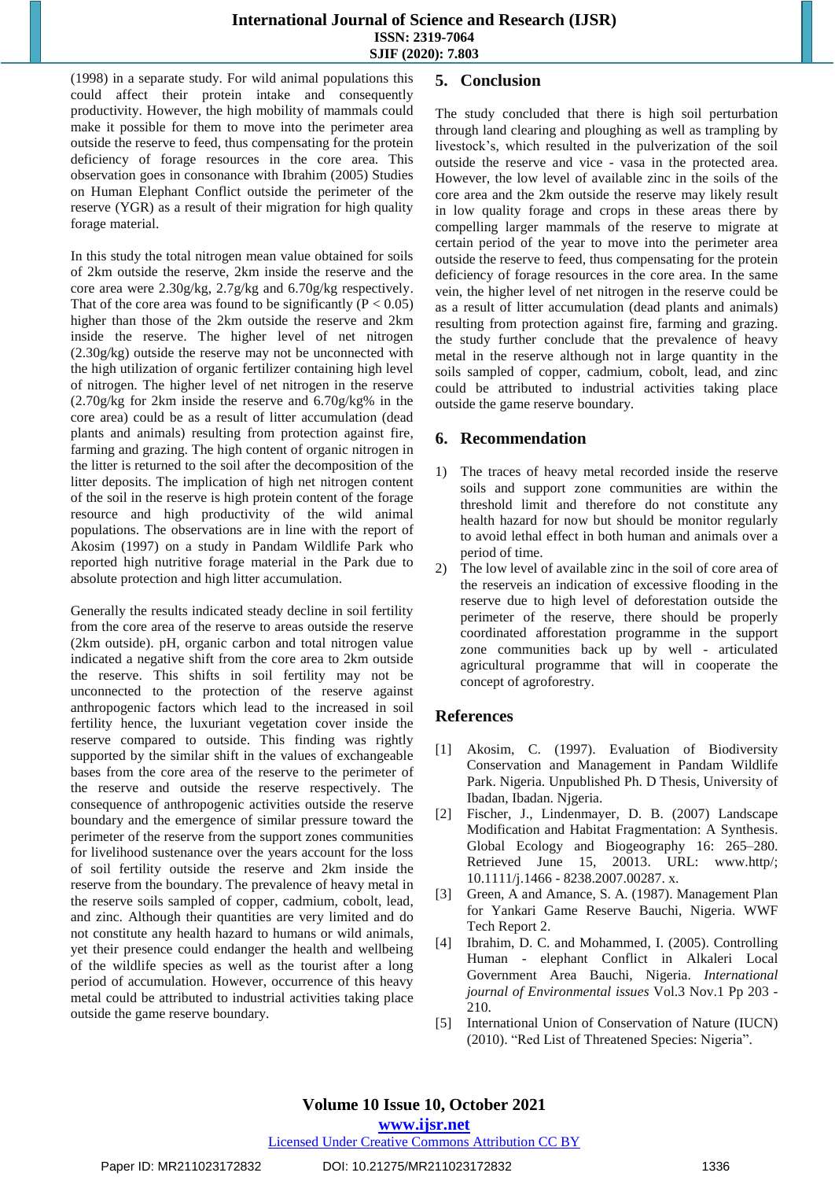(1998) in a separate study. For wild animal populations this could affect their protein intake and consequently productivity. However, the high mobility of mammals could make it possible for them to move into the perimeter area outside the reserve to feed, thus compensating for the protein deficiency of forage resources in the core area. This observation goes in consonance with Ibrahim (2005) Studies on Human Elephant Conflict outside the perimeter of the reserve (YGR) as a result of their migration for high quality forage material.

In this study the total nitrogen mean value obtained for soils of 2km outside the reserve, 2km inside the reserve and the core area were 2.30g/kg, 2.7g/kg and 6.70g/kg respectively. That of the core area was found to be significantly ( $P < 0.05$ ) higher than those of the 2km outside the reserve and 2km inside the reserve. The higher level of net nitrogen (2.30g/kg) outside the reserve may not be unconnected with the high utilization of organic fertilizer containing high level of nitrogen. The higher level of net nitrogen in the reserve (2.70g/kg for 2km inside the reserve and 6.70g/kg% in the core area) could be as a result of litter accumulation (dead plants and animals) resulting from protection against fire, farming and grazing. The high content of organic nitrogen in the litter is returned to the soil after the decomposition of the litter deposits. The implication of high net nitrogen content of the soil in the reserve is high protein content of the forage resource and high productivity of the wild animal populations. The observations are in line with the report of Akosim (1997) on a study in Pandam Wildlife Park who reported high nutritive forage material in the Park due to absolute protection and high litter accumulation.

Generally the results indicated steady decline in soil fertility from the core area of the reserve to areas outside the reserve (2km outside). pH, organic carbon and total nitrogen value indicated a negative shift from the core area to 2km outside the reserve. This shifts in soil fertility may not be unconnected to the protection of the reserve against anthropogenic factors which lead to the increased in soil fertility hence, the luxuriant vegetation cover inside the reserve compared to outside. This finding was rightly supported by the similar shift in the values of exchangeable bases from the core area of the reserve to the perimeter of the reserve and outside the reserve respectively. The consequence of anthropogenic activities outside the reserve boundary and the emergence of similar pressure toward the perimeter of the reserve from the support zones communities for livelihood sustenance over the years account for the loss of soil fertility outside the reserve and 2km inside the reserve from the boundary. The prevalence of heavy metal in the reserve soils sampled of copper, cadmium, cobolt, lead, and zinc. Although their quantities are very limited and do not constitute any health hazard to humans or wild animals, yet their presence could endanger the health and wellbeing of the wildlife species as well as the tourist after a long period of accumulation. However, occurrence of this heavy metal could be attributed to industrial activities taking place outside the game reserve boundary.

# **5. Conclusion**

The study concluded that there is high soil perturbation through land clearing and ploughing as well as trampling by livestock's, which resulted in the pulverization of the soil outside the reserve and vice - vasa in the protected area. However, the low level of available zinc in the soils of the core area and the 2km outside the reserve may likely result in low quality forage and crops in these areas there by compelling larger mammals of the reserve to migrate at certain period of the year to move into the perimeter area outside the reserve to feed, thus compensating for the protein deficiency of forage resources in the core area. In the same vein, the higher level of net nitrogen in the reserve could be as a result of litter accumulation (dead plants and animals) resulting from protection against fire, farming and grazing. the study further conclude that the prevalence of heavy metal in the reserve although not in large quantity in the soils sampled of copper, cadmium, cobolt, lead, and zinc could be attributed to industrial activities taking place outside the game reserve boundary.

# **6. Recommendation**

- 1) The traces of heavy metal recorded inside the reserve soils and support zone communities are within the threshold limit and therefore do not constitute any health hazard for now but should be monitor regularly to avoid lethal effect in both human and animals over a period of time.
- 2) The low level of available zinc in the soil of core area of the reserveis an indication of excessive flooding in the reserve due to high level of deforestation outside the perimeter of the reserve, there should be properly coordinated afforestation programme in the support zone communities back up by well - articulated agricultural programme that will in cooperate the concept of agroforestry.

# **References**

- [1] Akosim, C. (1997). Evaluation of Biodiversity Conservation and Management in Pandam Wildlife Park. Nigeria. Unpublished Ph. D Thesis, University of Ibadan, Ibadan. Njgeria.
- [2] Fischer, J., Lindenmayer, D. B. (2007) Landscape Modification and Habitat Fragmentation: A Synthesis. Global Ecology and Biogeography 16: 265–280. Retrieved June 15, 20013. URL: www.http/; 10.1111/j.1466 - 8238.2007.00287. x.
- [3] Green, A and Amance, S. A. (1987). Management Plan for Yankari Game Reserve Bauchi, Nigeria. WWF Tech Report 2.
- [4] Ibrahim, D. C. and Mohammed, I. (2005). Controlling Human - elephant Conflict in Alkaleri Local Government Area Bauchi, Nigeria. *International journal of Environmental issues* Vol.3 Nov.1 Pp 203 - 210.
- [5] International Union of Conservation of Nature (IUCN) (2010). "Red List of Threatened Species: Nigeria".

# **www.ijsr.net**

# Licensed Under Creative Commons Attribution CC BY